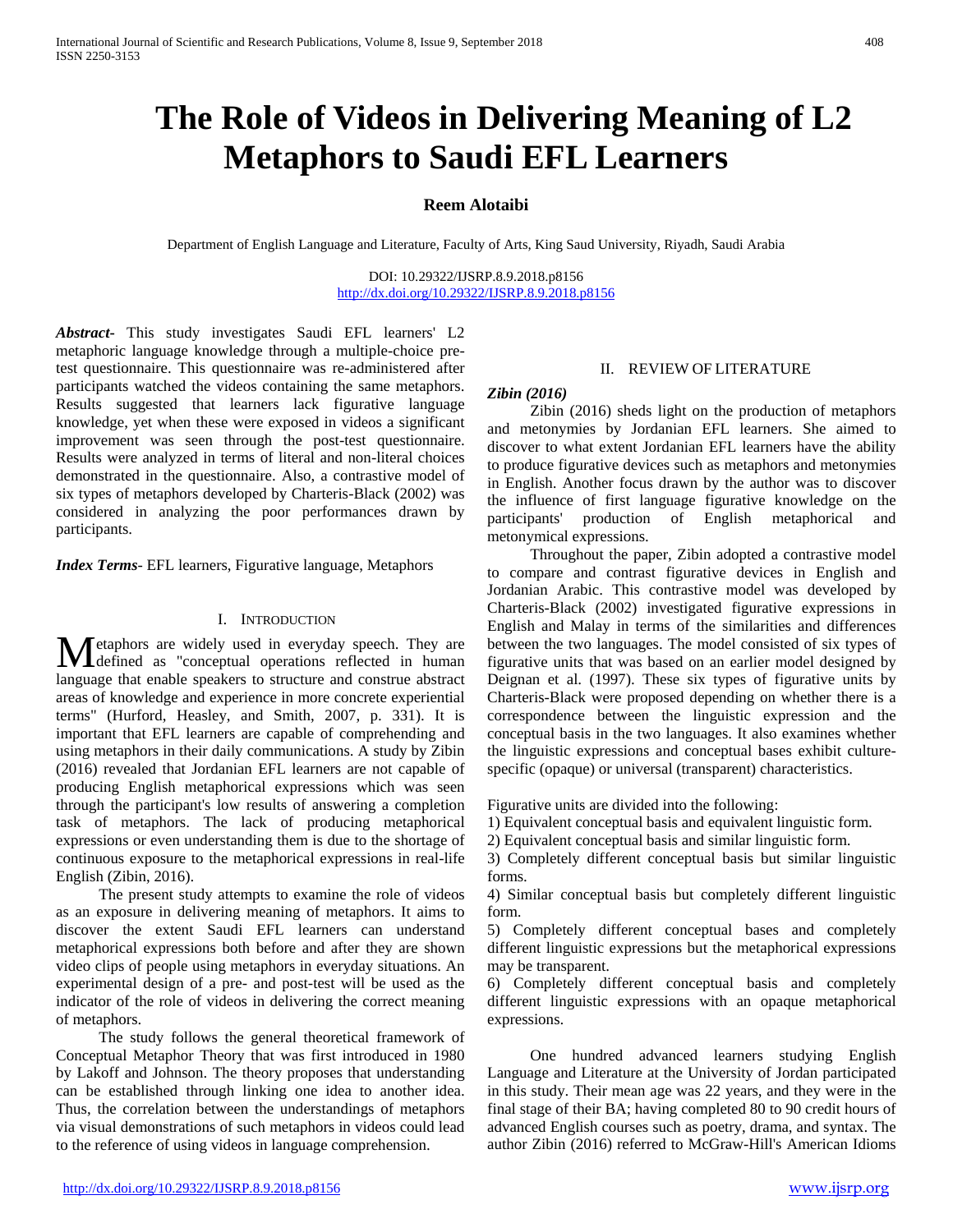# **The Role of Videos in Delivering Meaning of L2 Metaphors to Saudi EFL Learners**

# **Reem Alotaibi**

Department of English Language and Literature, Faculty of Arts, King Saud University, Riyadh, Saudi Arabia

DOI: 10.29322/IJSRP.8.9.2018.p8156 <http://dx.doi.org/10.29322/IJSRP.8.9.2018.p8156>

*Abstract***-** This study investigates Saudi EFL learners' L2 metaphoric language knowledge through a multiple-choice pretest questionnaire. This questionnaire was re-administered after participants watched the videos containing the same metaphors. Results suggested that learners lack figurative language knowledge, yet when these were exposed in videos a significant improvement was seen through the post-test questionnaire. Results were analyzed in terms of literal and non-literal choices demonstrated in the questionnaire. Also, a contrastive model of six types of metaphors developed by Charteris-Black (2002) was considered in analyzing the poor performances drawn by participants.

*Index Terms*- EFL learners, Figurative language, Metaphors

#### I. INTRODUCTION

etaphors are widely used in everyday speech. They are Metaphors are widely used in everyday speech. They are defined as "conceptual operations reflected in human language that enable speakers to structure and construe abstract areas of knowledge and experience in more concrete experiential terms" (Hurford, Heasley, and Smith, 2007, p. 331). It is important that EFL learners are capable of comprehending and using metaphors in their daily communications. A study by Zibin (2016) revealed that Jordanian EFL learners are not capable of producing English metaphorical expressions which was seen through the participant's low results of answering a completion task of metaphors. The lack of producing metaphorical expressions or even understanding them is due to the shortage of continuous exposure to the metaphorical expressions in real-life English (Zibin, 2016).

 The present study attempts to examine the role of videos as an exposure in delivering meaning of metaphors. It aims to discover the extent Saudi EFL learners can understand metaphorical expressions both before and after they are shown video clips of people using metaphors in everyday situations. An experimental design of a pre- and post-test will be used as the indicator of the role of videos in delivering the correct meaning of metaphors.

 The study follows the general theoretical framework of Conceptual Metaphor Theory that was first introduced in 1980 by Lakoff and Johnson. The theory proposes that understanding can be established through linking one idea to another idea. Thus, the correlation between the understandings of metaphors via visual demonstrations of such metaphors in videos could lead to the reference of using videos in language comprehension.

# II. REVIEW OF LITERATURE

#### *Zibin (2016)*

 Zibin (2016) sheds light on the production of metaphors and metonymies by Jordanian EFL learners. She aimed to discover to what extent Jordanian EFL learners have the ability to produce figurative devices such as metaphors and metonymies in English. Another focus drawn by the author was to discover the influence of first language figurative knowledge on the participants' production of English metaphorical and metonymical expressions.

 Throughout the paper, Zibin adopted a contrastive model to compare and contrast figurative devices in English and Jordanian Arabic. This contrastive model was developed by Charteris-Black (2002) investigated figurative expressions in English and Malay in terms of the similarities and differences between the two languages. The model consisted of six types of figurative units that was based on an earlier model designed by Deignan et al. (1997). These six types of figurative units by Charteris-Black were proposed depending on whether there is a correspondence between the linguistic expression and the conceptual basis in the two languages. It also examines whether the linguistic expressions and conceptual bases exhibit culturespecific (opaque) or universal (transparent) characteristics.

Figurative units are divided into the following:

1) Equivalent conceptual basis and equivalent linguistic form.

2) Equivalent conceptual basis and similar linguistic form.

3) Completely different conceptual basis but similar linguistic forms.

4) Similar conceptual basis but completely different linguistic form.

5) Completely different conceptual bases and completely different linguistic expressions but the metaphorical expressions may be transparent.

6) Completely different conceptual basis and completely different linguistic expressions with an opaque metaphorical expressions.

 One hundred advanced learners studying English Language and Literature at the University of Jordan participated in this study. Their mean age was 22 years, and they were in the final stage of their BA; having completed 80 to 90 credit hours of advanced English courses such as poetry, drama, and syntax. The author Zibin (2016) referred to McGraw-Hill's American Idioms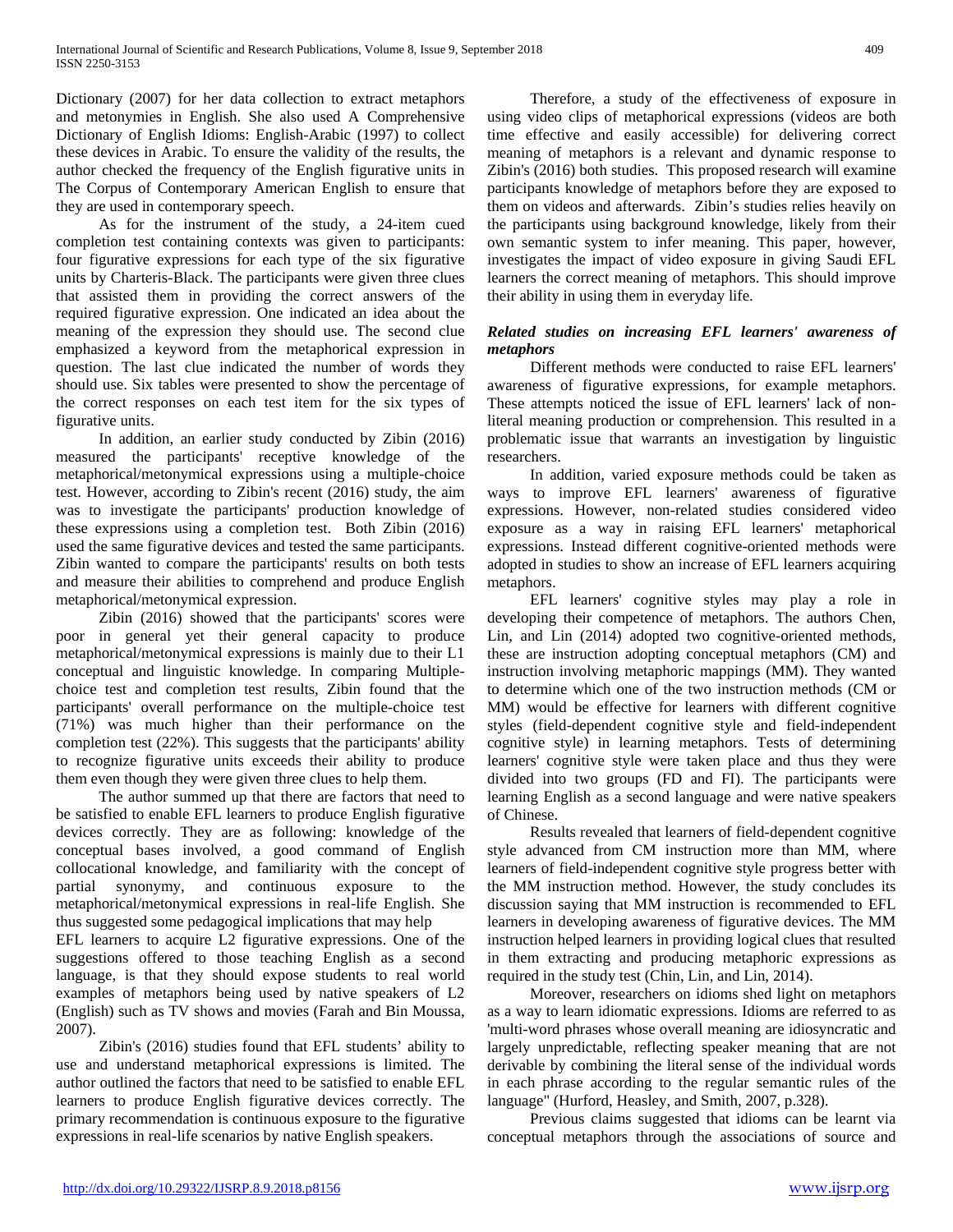Dictionary (2007) for her data collection to extract metaphors and metonymies in English. She also used A Comprehensive Dictionary of English Idioms: English-Arabic (1997) to collect these devices in Arabic. To ensure the validity of the results, the author checked the frequency of the English figurative units in The Corpus of Contemporary American English to ensure that they are used in contemporary speech.

 As for the instrument of the study, a 24-item cued completion test containing contexts was given to participants: four figurative expressions for each type of the six figurative units by Charteris-Black. The participants were given three clues that assisted them in providing the correct answers of the required figurative expression. One indicated an idea about the meaning of the expression they should use. The second clue emphasized a keyword from the metaphorical expression in question. The last clue indicated the number of words they should use. Six tables were presented to show the percentage of the correct responses on each test item for the six types of figurative units.

 In addition, an earlier study conducted by Zibin (2016) measured the participants' receptive knowledge of the metaphorical/metonymical expressions using a multiple-choice test. However, according to Zibin's recent (2016) study, the aim was to investigate the participants' production knowledge of these expressions using a completion test. Both Zibin (2016) used the same figurative devices and tested the same participants. Zibin wanted to compare the participants' results on both tests and measure their abilities to comprehend and produce English metaphorical/metonymical expression.

 Zibin (2016) showed that the participants' scores were poor in general yet their general capacity to produce metaphorical/metonymical expressions is mainly due to their L1 conceptual and linguistic knowledge. In comparing Multiplechoice test and completion test results, Zibin found that the participants' overall performance on the multiple-choice test (71%) was much higher than their performance on the completion test (22%). This suggests that the participants' ability to recognize figurative units exceeds their ability to produce them even though they were given three clues to help them.

 The author summed up that there are factors that need to be satisfied to enable EFL learners to produce English figurative devices correctly. They are as following: knowledge of the conceptual bases involved, a good command of English collocational knowledge, and familiarity with the concept of partial synonymy, and continuous exposure to the metaphorical/metonymical expressions in real-life English. She thus suggested some pedagogical implications that may help

EFL learners to acquire L2 figurative expressions. One of the suggestions offered to those teaching English as a second language, is that they should expose students to real world examples of metaphors being used by native speakers of L2 (English) such as TV shows and movies (Farah and Bin Moussa, 2007).

 Zibin's (2016) studies found that EFL students' ability to use and understand metaphorical expressions is limited. The author outlined the factors that need to be satisfied to enable EFL learners to produce English figurative devices correctly. The primary recommendation is continuous exposure to the figurative expressions in real-life scenarios by native English speakers.

 Therefore, a study of the effectiveness of exposure in using video clips of metaphorical expressions (videos are both time effective and easily accessible) for delivering correct meaning of metaphors is a relevant and dynamic response to Zibin's (2016) both studies. This proposed research will examine participants knowledge of metaphors before they are exposed to them on videos and afterwards. Zibin's studies relies heavily on the participants using background knowledge, likely from their own semantic system to infer meaning. This paper, however, investigates the impact of video exposure in giving Saudi EFL learners the correct meaning of metaphors. This should improve their ability in using them in everyday life.

#### *Related studies on increasing EFL learners' awareness of metaphors*

 Different methods were conducted to raise EFL learners' awareness of figurative expressions, for example metaphors. These attempts noticed the issue of EFL learners' lack of nonliteral meaning production or comprehension. This resulted in a problematic issue that warrants an investigation by linguistic researchers.

 In addition, varied exposure methods could be taken as ways to improve EFL learners' awareness of figurative expressions. However, non-related studies considered video exposure as a way in raising EFL learners' metaphorical expressions. Instead different cognitive-oriented methods were adopted in studies to show an increase of EFL learners acquiring metaphors.

 EFL learners' cognitive styles may play a role in developing their competence of metaphors. The authors Chen, Lin, and Lin (2014) adopted two cognitive-oriented methods, these are instruction adopting conceptual metaphors (CM) and instruction involving metaphoric mappings (MM). They wanted to determine which one of the two instruction methods (CM or MM) would be effective for learners with different cognitive styles (field-dependent cognitive style and field-independent cognitive style) in learning metaphors. Tests of determining learners' cognitive style were taken place and thus they were divided into two groups (FD and FI). The participants were learning English as a second language and were native speakers of Chinese.

 Results revealed that learners of field-dependent cognitive style advanced from CM instruction more than MM, where learners of field-independent cognitive style progress better with the MM instruction method. However, the study concludes its discussion saying that MM instruction is recommended to EFL learners in developing awareness of figurative devices. The MM instruction helped learners in providing logical clues that resulted in them extracting and producing metaphoric expressions as required in the study test (Chin, Lin, and Lin, 2014).

 Moreover, researchers on idioms shed light on metaphors as a way to learn idiomatic expressions. Idioms are referred to as 'multi-word phrases whose overall meaning are idiosyncratic and largely unpredictable, reflecting speaker meaning that are not derivable by combining the literal sense of the individual words in each phrase according to the regular semantic rules of the language" (Hurford, Heasley, and Smith, 2007, p.328).

 Previous claims suggested that idioms can be learnt via conceptual metaphors through the associations of source and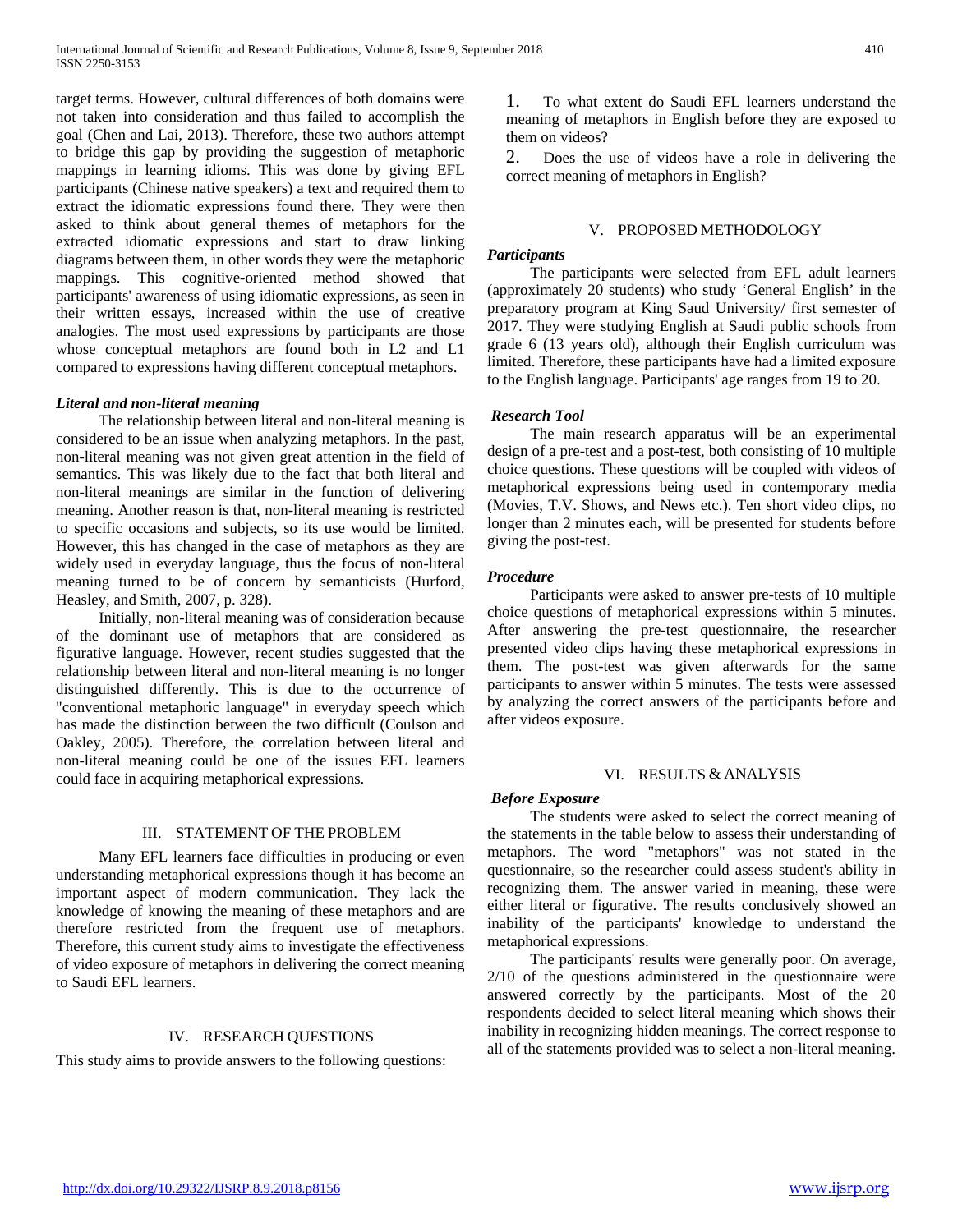target terms. However, cultural differences of both domains were not taken into consideration and thus failed to accomplish the goal (Chen and Lai, 2013). Therefore, these two authors attempt to bridge this gap by providing the suggestion of metaphoric mappings in learning idioms. This was done by giving EFL participants (Chinese native speakers) a text and required them to extract the idiomatic expressions found there. They were then asked to think about general themes of metaphors for the extracted idiomatic expressions and start to draw linking diagrams between them, in other words they were the metaphoric mappings. This cognitive-oriented method showed that participants' awareness of using idiomatic expressions, as seen in their written essays, increased within the use of creative analogies. The most used expressions by participants are those whose conceptual metaphors are found both in L2 and L1 compared to expressions having different conceptual metaphors.

# *Literal and non-literal meaning*

 The relationship between literal and non-literal meaning is considered to be an issue when analyzing metaphors. In the past, non-literal meaning was not given great attention in the field of semantics. This was likely due to the fact that both literal and non-literal meanings are similar in the function of delivering meaning. Another reason is that, non-literal meaning is restricted to specific occasions and subjects, so its use would be limited. However, this has changed in the case of metaphors as they are widely used in everyday language, thus the focus of non-literal meaning turned to be of concern by semanticists (Hurford, Heasley, and Smith, 2007, p. 328).

 Initially, non-literal meaning was of consideration because of the dominant use of metaphors that are considered as figurative language. However, recent studies suggested that the relationship between literal and non-literal meaning is no longer distinguished differently. This is due to the occurrence of "conventional metaphoric language" in everyday speech which has made the distinction between the two difficult (Coulson and Oakley, 2005). Therefore, the correlation between literal and non-literal meaning could be one of the issues EFL learners could face in acquiring metaphorical expressions.

#### III. STATEMENT OF THE PROBLEM

 Many EFL learners face difficulties in producing or even understanding metaphorical expressions though it has become an important aspect of modern communication. They lack the knowledge of knowing the meaning of these metaphors and are therefore restricted from the frequent use of metaphors. Therefore, this current study aims to investigate the effectiveness of video exposure of metaphors in delivering the correct meaning to Saudi EFL learners.

# IV. RESEARCH QUESTIONS

This study aims to provide answers to the following questions:

1. To what extent do Saudi EFL learners understand the meaning of metaphors in English before they are exposed to them on videos?

2. Does the use of videos have a role in delivering the correct meaning of metaphors in English?

# V. PROPOSED METHODOLOGY

# *Participants*

 The participants were selected from EFL adult learners (approximately 20 students) who study 'General English' in the preparatory program at King Saud University/ first semester of 2017. They were studying English at Saudi public schools from grade 6 (13 years old), although their English curriculum was limited. Therefore, these participants have had a limited exposure to the English language. Participants' age ranges from 19 to 20.

# *Research Tool*

 The main research apparatus will be an experimental design of a pre-test and a post-test, both consisting of 10 multiple choice questions. These questions will be coupled with videos of metaphorical expressions being used in contemporary media (Movies, T.V. Shows, and News etc.). Ten short video clips, no longer than 2 minutes each, will be presented for students before giving the post-test.

# *Procedure*

 Participants were asked to answer pre-tests of 10 multiple choice questions of metaphorical expressions within 5 minutes. After answering the pre-test questionnaire, the researcher presented video clips having these metaphorical expressions in them. The post-test was given afterwards for the same participants to answer within 5 minutes. The tests were assessed by analyzing the correct answers of the participants before and after videos exposure.

#### VI. RESULTS & ANALYSIS

#### *Before Exposure*

 The students were asked to select the correct meaning of the statements in the table below to assess their understanding of metaphors. The word "metaphors" was not stated in the questionnaire, so the researcher could assess student's ability in recognizing them. The answer varied in meaning, these were either literal or figurative. The results conclusively showed an inability of the participants' knowledge to understand the metaphorical expressions.

 The participants' results were generally poor. On average, 2/10 of the questions administered in the questionnaire were answered correctly by the participants. Most of the 20 respondents decided to select literal meaning which shows their inability in recognizing hidden meanings. The correct response to all of the statements provided was to select a non-literal meaning.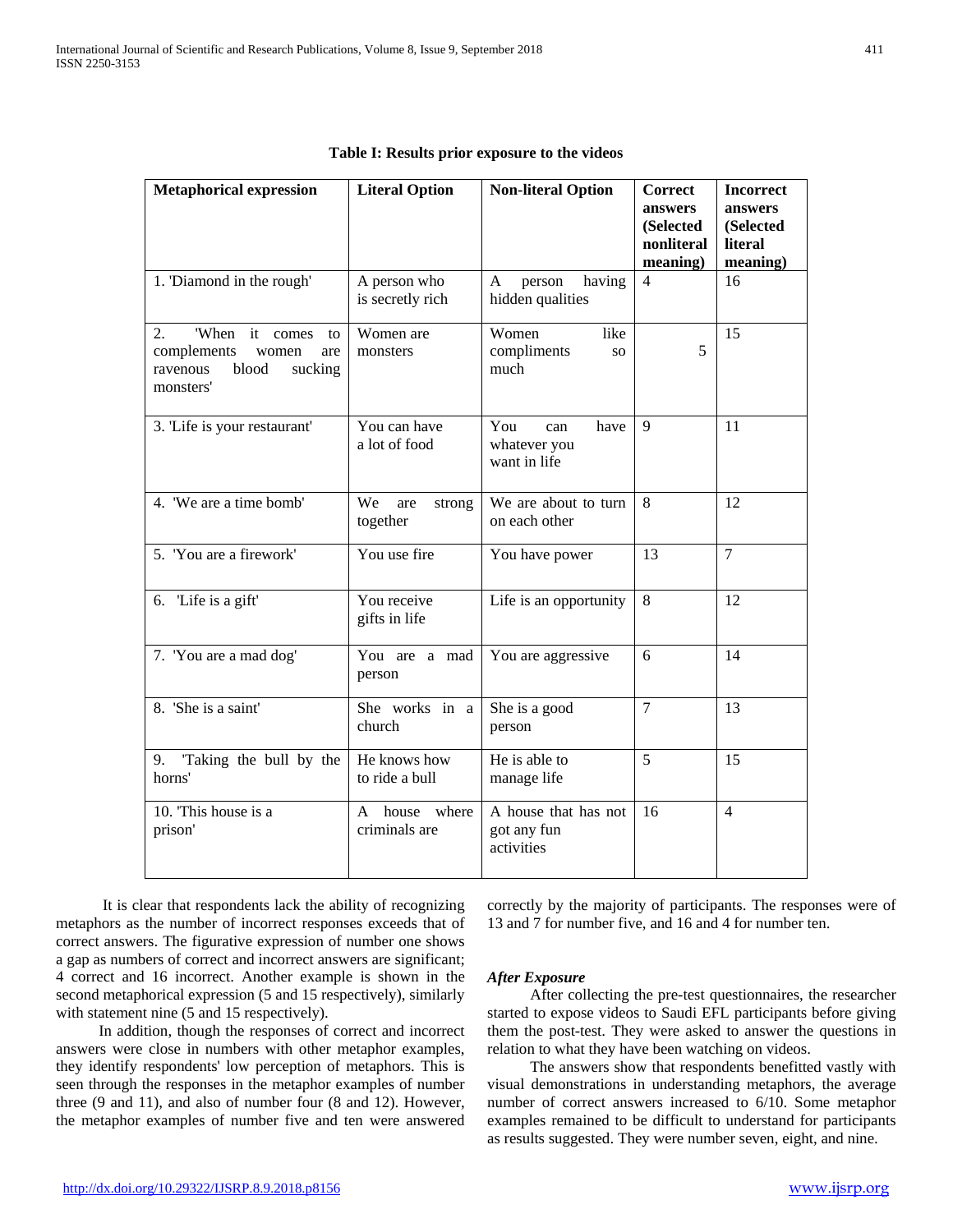| <b>Metaphorical expression</b>                                                                            | <b>Literal Option</b>                | <b>Non-literal Option</b>                               | <b>Correct</b><br>answers<br>(Selected<br>nonliteral<br>meaning) | <b>Incorrect</b><br>answers<br>(Selected<br>literal<br>meaning) |
|-----------------------------------------------------------------------------------------------------------|--------------------------------------|---------------------------------------------------------|------------------------------------------------------------------|-----------------------------------------------------------------|
| 1. 'Diamond in the rough'                                                                                 | A person who<br>is secretly rich     | having<br>person<br>A<br>hidden qualities               | 4                                                                | 16                                                              |
| 'When<br>it comes<br>2.<br>to<br>complements<br>women<br>are<br>blood<br>ravenous<br>sucking<br>monsters' | Women are<br>monsters                | Women<br>like<br>compliments<br>SO <sub>1</sub><br>much | 5                                                                | 15                                                              |
| 3. 'Life is your restaurant'                                                                              | You can have<br>a lot of food        | You<br>have<br>can<br>whatever you<br>want in life      | 9                                                                | 11                                                              |
| 4. 'We are a time bomb'                                                                                   | We<br>are<br>strong<br>together      | We are about to turn<br>on each other                   | 8                                                                | 12                                                              |
| 5. 'You are a firework'                                                                                   | You use fire                         | You have power                                          | 13                                                               | $\overline{7}$                                                  |
| 6. 'Life is a gift'                                                                                       | You receive<br>gifts in life         | Life is an opportunity                                  | 8                                                                | 12                                                              |
| 7. 'You are a mad dog'                                                                                    | You are a mad<br>person              | You are aggressive                                      | 6                                                                | 14                                                              |
| 8. 'She is a saint'                                                                                       | She works in a<br>church             | She is a good<br>person                                 | $\overline{7}$                                                   | 13                                                              |
| Taking the bull by the<br>9.<br>horns'                                                                    | He knows how<br>to ride a bull       | He is able to<br>manage life                            | 5                                                                | 15                                                              |
| 10. This house is a<br>prison'                                                                            | house<br>where<br>A<br>criminals are | A house that has not<br>got any fun<br>activities       | 16                                                               | $\overline{4}$                                                  |

|  |  |  |  | Table I: Results prior exposure to the videos |
|--|--|--|--|-----------------------------------------------|
|--|--|--|--|-----------------------------------------------|

 It is clear that respondents lack the ability of recognizing metaphors as the number of incorrect responses exceeds that of correct answers. The figurative expression of number one shows a gap as numbers of correct and incorrect answers are significant; 4 correct and 16 incorrect. Another example is shown in the second metaphorical expression (5 and 15 respectively), similarly with statement nine (5 and 15 respectively).

 In addition, though the responses of correct and incorrect answers were close in numbers with other metaphor examples, they identify respondents' low perception of metaphors. This is seen through the responses in the metaphor examples of number three (9 and 11), and also of number four (8 and 12). However, the metaphor examples of number five and ten were answered

correctly by the majority of participants. The responses were of 13 and 7 for number five, and 16 and 4 for number ten.

#### *After Exposure*

 After collecting the pre-test questionnaires, the researcher started to expose videos to Saudi EFL participants before giving them the post-test. They were asked to answer the questions in relation to what they have been watching on videos.

 The answers show that respondents benefitted vastly with visual demonstrations in understanding metaphors, the average number of correct answers increased to 6/10. Some metaphor examples remained to be difficult to understand for participants as results suggested. They were number seven, eight, and nine.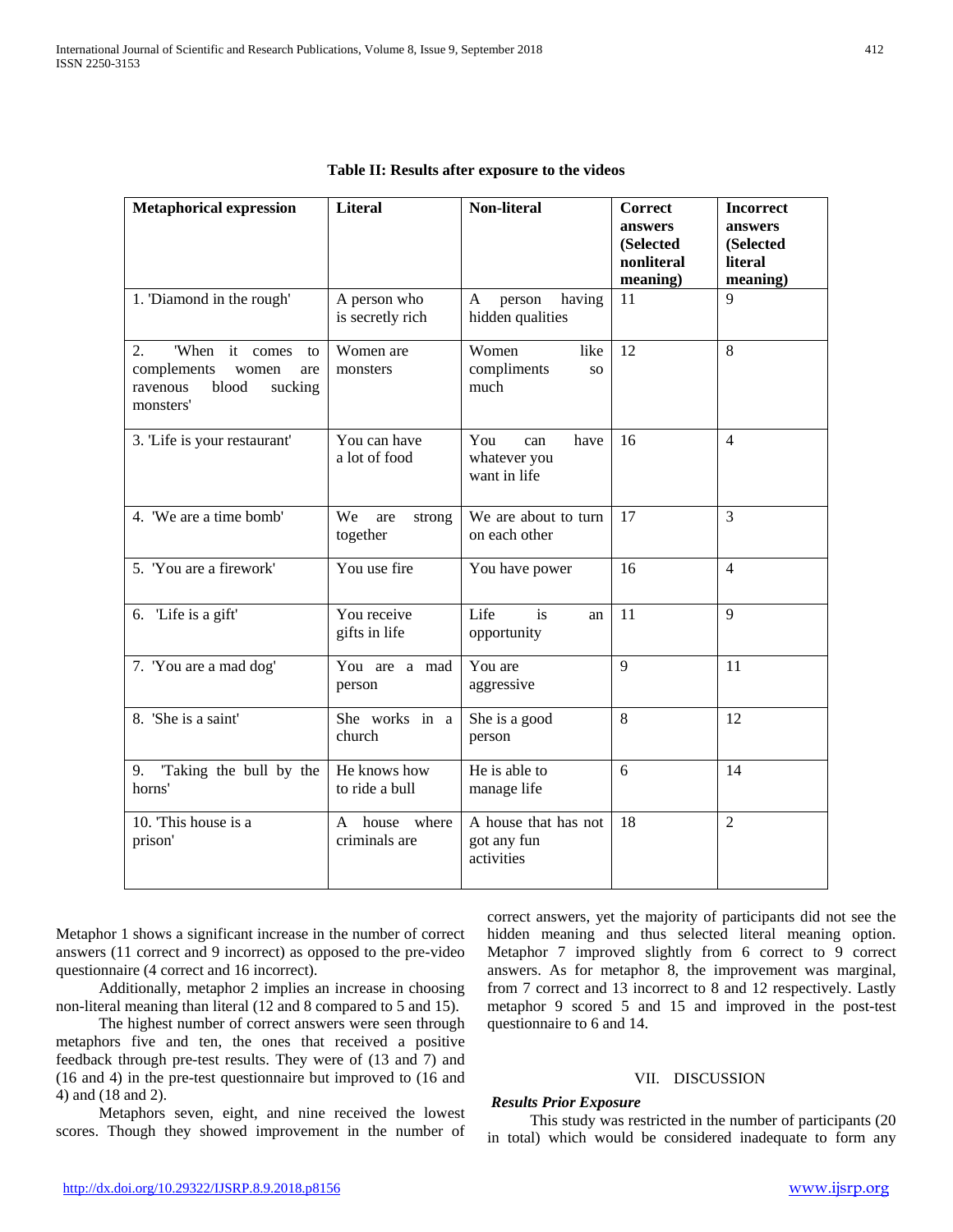| <b>Metaphorical expression</b>                                                                            | <b>Literal</b>                    | Non-literal                                        | Correct<br>answers<br>(Selected<br>nonliteral<br>meaning) | <b>Incorrect</b><br>answers<br>(Selected<br>literal<br>meaning) |
|-----------------------------------------------------------------------------------------------------------|-----------------------------------|----------------------------------------------------|-----------------------------------------------------------|-----------------------------------------------------------------|
| 1. 'Diamond in the rough'                                                                                 | A person who<br>is secretly rich  | having<br>person<br>A<br>hidden qualities          | 11                                                        | $\mathbf{Q}$                                                    |
| 'When<br>it comes<br>2.<br>to<br>complements<br>women<br>are<br>blood<br>ravenous<br>sucking<br>monsters' | Women are<br>monsters             | Women<br>like<br>compliments<br><b>SO</b><br>much  | 12                                                        | 8                                                               |
| 3. 'Life is your restaurant'                                                                              | You can have<br>a lot of food     | You<br>have<br>can<br>whatever you<br>want in life | 16                                                        | $\overline{4}$                                                  |
| 4. 'We are a time bomb'                                                                                   | We<br>are<br>strong<br>together   | We are about to turn<br>on each other              | 17                                                        | 3                                                               |
| 5. 'You are a firework'                                                                                   | You use fire                      | You have power                                     | 16                                                        | $\overline{4}$                                                  |
| 6. 'Life is a gift'                                                                                       | You receive<br>gifts in life      | Life<br>is<br>an<br>opportunity                    | 11                                                        | 9                                                               |
| 7. 'You are a mad dog'                                                                                    | You are a mad<br>person           | You are<br>aggressive                              | $\mathbf{Q}$                                              | 11                                                              |
| 8. 'She is a saint'                                                                                       | She works in a<br>church          | She is a good<br>person                            | 8                                                         | 12                                                              |
| Taking the bull by the<br>9.<br>horns'                                                                    | He knows how<br>to ride a bull    | He is able to<br>manage life                       | 6                                                         | 14                                                              |
| 10. This house is a<br>prison'                                                                            | house where<br>A<br>criminals are | A house that has not<br>got any fun<br>activities  | 18                                                        | $\overline{2}$                                                  |

Metaphor 1 shows a significant increase in the number of correct answers (11 correct and 9 incorrect) as opposed to the pre-video questionnaire (4 correct and 16 incorrect).

 Additionally, metaphor 2 implies an increase in choosing non-literal meaning than literal (12 and 8 compared to 5 and 15).

 The highest number of correct answers were seen through metaphors five and ten, the ones that received a positive feedback through pre-test results. They were of (13 and 7) and (16 and 4) in the pre-test questionnaire but improved to (16 and 4) and (18 and 2).

 Metaphors seven, eight, and nine received the lowest scores. Though they showed improvement in the number of

# correct answers, yet the majority of participants did not see the hidden meaning and thus selected literal meaning option. Metaphor 7 improved slightly from 6 correct to 9 correct answers. As for metaphor 8, the improvement was marginal, from 7 correct and 13 incorrect to 8 and 12 respectively. Lastly metaphor 9 scored 5 and 15 and improved in the post-test questionnaire to 6 and 14.

# VII. DISCUSSION

## *Results Prior Exposure*

 This study was restricted in the number of participants (20 in total) which would be considered inadequate to form any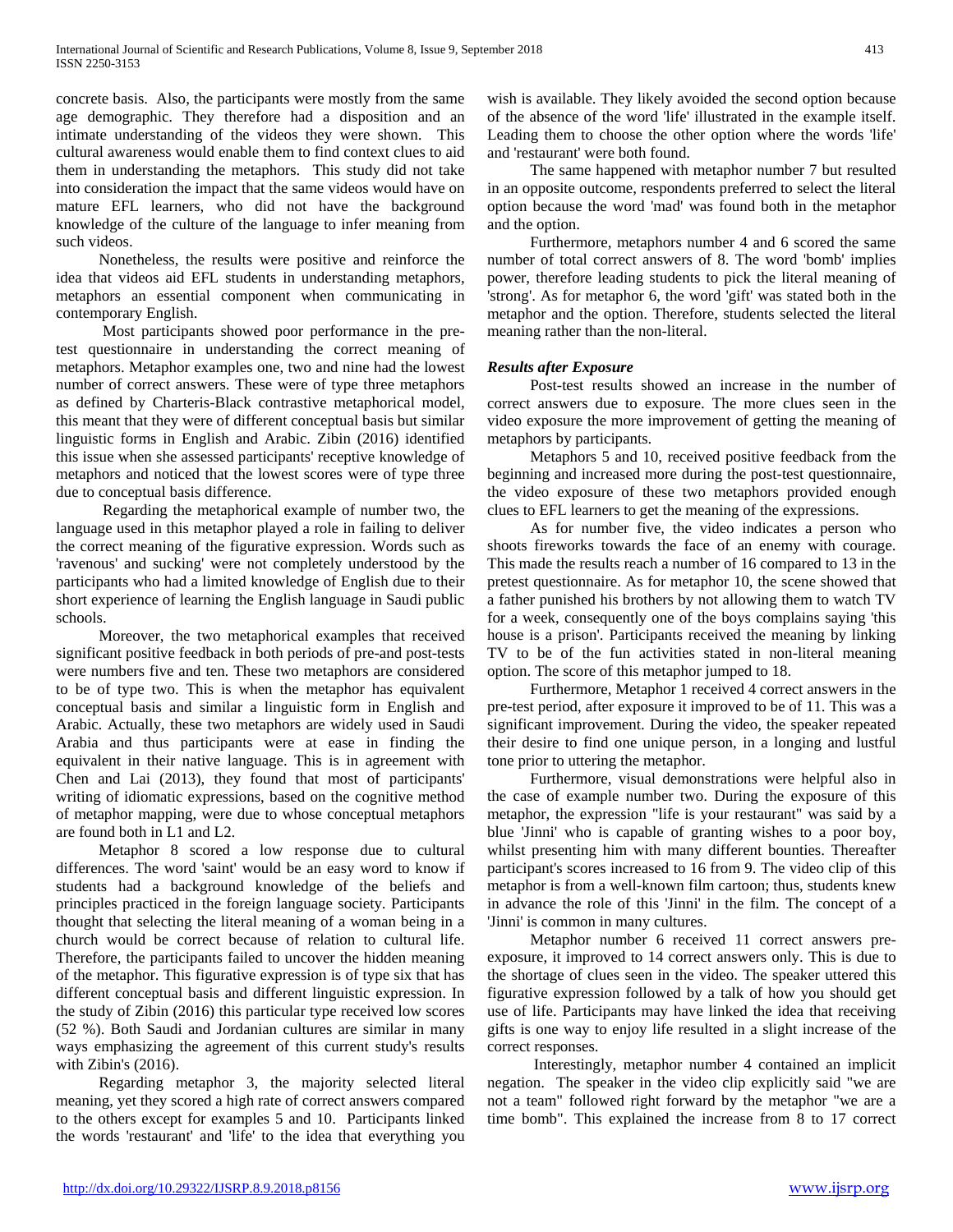concrete basis. Also, the participants were mostly from the same age demographic. They therefore had a disposition and an intimate understanding of the videos they were shown. This cultural awareness would enable them to find context clues to aid them in understanding the metaphors. This study did not take into consideration the impact that the same videos would have on mature EFL learners, who did not have the background knowledge of the culture of the language to infer meaning from such videos.

 Nonetheless, the results were positive and reinforce the idea that videos aid EFL students in understanding metaphors, metaphors an essential component when communicating in contemporary English.

 Most participants showed poor performance in the pretest questionnaire in understanding the correct meaning of metaphors. Metaphor examples one, two and nine had the lowest number of correct answers. These were of type three metaphors as defined by Charteris-Black contrastive metaphorical model, this meant that they were of different conceptual basis but similar linguistic forms in English and Arabic. Zibin (2016) identified this issue when she assessed participants' receptive knowledge of metaphors and noticed that the lowest scores were of type three due to conceptual basis difference.

 Regarding the metaphorical example of number two, the language used in this metaphor played a role in failing to deliver the correct meaning of the figurative expression. Words such as 'ravenous' and sucking' were not completely understood by the participants who had a limited knowledge of English due to their short experience of learning the English language in Saudi public schools.

 Moreover, the two metaphorical examples that received significant positive feedback in both periods of pre-and post-tests were numbers five and ten. These two metaphors are considered to be of type two. This is when the metaphor has equivalent conceptual basis and similar a linguistic form in English and Arabic. Actually, these two metaphors are widely used in Saudi Arabia and thus participants were at ease in finding the equivalent in their native language. This is in agreement with Chen and Lai (2013), they found that most of participants' writing of idiomatic expressions, based on the cognitive method of metaphor mapping, were due to whose conceptual metaphors are found both in L1 and L2.

 Metaphor 8 scored a low response due to cultural differences. The word 'saint' would be an easy word to know if students had a background knowledge of the beliefs and principles practiced in the foreign language society. Participants thought that selecting the literal meaning of a woman being in a church would be correct because of relation to cultural life. Therefore, the participants failed to uncover the hidden meaning of the metaphor. This figurative expression is of type six that has different conceptual basis and different linguistic expression. In the study of Zibin (2016) this particular type received low scores (52 %). Both Saudi and Jordanian cultures are similar in many ways emphasizing the agreement of this current study's results with Zibin's (2016).

 Regarding metaphor 3, the majority selected literal meaning, yet they scored a high rate of correct answers compared to the others except for examples 5 and 10. Participants linked the words 'restaurant' and 'life' to the idea that everything you

wish is available. They likely avoided the second option because of the absence of the word 'life' illustrated in the example itself. Leading them to choose the other option where the words 'life' and 'restaurant' were both found.

 The same happened with metaphor number 7 but resulted in an opposite outcome, respondents preferred to select the literal option because the word 'mad' was found both in the metaphor and the option.

 Furthermore, metaphors number 4 and 6 scored the same number of total correct answers of 8. The word 'bomb' implies power, therefore leading students to pick the literal meaning of 'strong'. As for metaphor 6, the word 'gift' was stated both in the metaphor and the option. Therefore, students selected the literal meaning rather than the non-literal.

# *Results after Exposure*

 Post-test results showed an increase in the number of correct answers due to exposure. The more clues seen in the video exposure the more improvement of getting the meaning of metaphors by participants.

 Metaphors 5 and 10, received positive feedback from the beginning and increased more during the post-test questionnaire, the video exposure of these two metaphors provided enough clues to EFL learners to get the meaning of the expressions.

 As for number five, the video indicates a person who shoots fireworks towards the face of an enemy with courage. This made the results reach a number of 16 compared to 13 in the pretest questionnaire. As for metaphor 10, the scene showed that a father punished his brothers by not allowing them to watch TV for a week, consequently one of the boys complains saying 'this house is a prison'. Participants received the meaning by linking TV to be of the fun activities stated in non-literal meaning option. The score of this metaphor jumped to 18.

 Furthermore, Metaphor 1 received 4 correct answers in the pre-test period, after exposure it improved to be of 11. This was a significant improvement. During the video, the speaker repeated their desire to find one unique person, in a longing and lustful tone prior to uttering the metaphor.

 Furthermore, visual demonstrations were helpful also in the case of example number two. During the exposure of this metaphor, the expression "life is your restaurant" was said by a blue 'Jinni' who is capable of granting wishes to a poor boy, whilst presenting him with many different bounties. Thereafter participant's scores increased to 16 from 9. The video clip of this metaphor is from a well-known film cartoon; thus, students knew in advance the role of this 'Jinni' in the film. The concept of a 'Jinni' is common in many cultures.

 Metaphor number 6 received 11 correct answers preexposure, it improved to 14 correct answers only. This is due to the shortage of clues seen in the video. The speaker uttered this figurative expression followed by a talk of how you should get use of life. Participants may have linked the idea that receiving gifts is one way to enjoy life resulted in a slight increase of the correct responses.

 Interestingly, metaphor number 4 contained an implicit negation. The speaker in the video clip explicitly said "we are not a team" followed right forward by the metaphor "we are a time bomb". This explained the increase from 8 to 17 correct